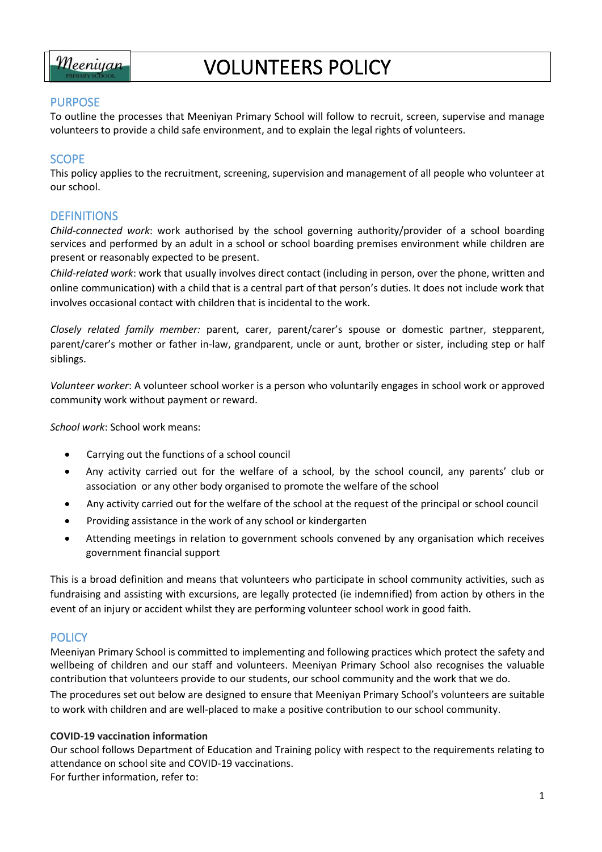

# VOLUNTEERS POLICY

## PURPOSE

To outline the processes that Meeniyan Primary School will follow to recruit, screen, supervise and manage volunteers to provide a child safe environment, and to explain the legal rights of volunteers.

# **SCOPE**

This policy applies to the recruitment, screening, supervision and management of all people who volunteer at our school.

## **DEFINITIONS**

*Child-connected work*: work authorised by the school governing authority/provider of a school boarding services and performed by an adult in a school or school boarding premises environment while children are present or reasonably expected to be present.

*Child-related work*: work that usually involves direct contact (including in person, over the phone, written and online communication) with a child that is a central part of that person's duties. It does not include work that involves occasional contact with children that is incidental to the work.

*Closely related family member:* parent, carer, parent/carer's spouse or domestic partner, stepparent, parent/carer's mother or father in-law, grandparent, uncle or aunt, brother or sister, including step or half siblings.

*Volunteer worker*: A volunteer school worker is a person who voluntarily engages in school work or approved community work without payment or reward.

*School work*: School work means:

- Carrying out the functions of a school council
- Any activity carried out for the welfare of a school, by the school council, any parents' club or association or any other body organised to promote the welfare of the school
- Any activity carried out for the welfare of the school at the request of the principal or school council
- Providing assistance in the work of any school or kindergarten
- Attending meetings in relation to government schools convened by any organisation which receives government financial support

This is a broad definition and means that volunteers who participate in school community activities, such as fundraising and assisting with excursions, are legally protected (ie indemnified) from action by others in the event of an injury or accident whilst they are performing volunteer school work in good faith.

# **POLICY**

Meeniyan Primary School is committed to implementing and following practices which protect the safety and wellbeing of children and our staff and volunteers. Meeniyan Primary School also recognises the valuable contribution that volunteers provide to our students, our school community and the work that we do. The procedures set out below are designed to ensure that Meeniyan Primary School's volunteers are suitable to work with children and are well-placed to make a positive contribution to our school community.

#### **COVID-19 vaccination information**

Our school follows Department of Education and Training policy with respect to the requirements relating to attendance on school site and COVID-19 vaccinations. For further information, refer to: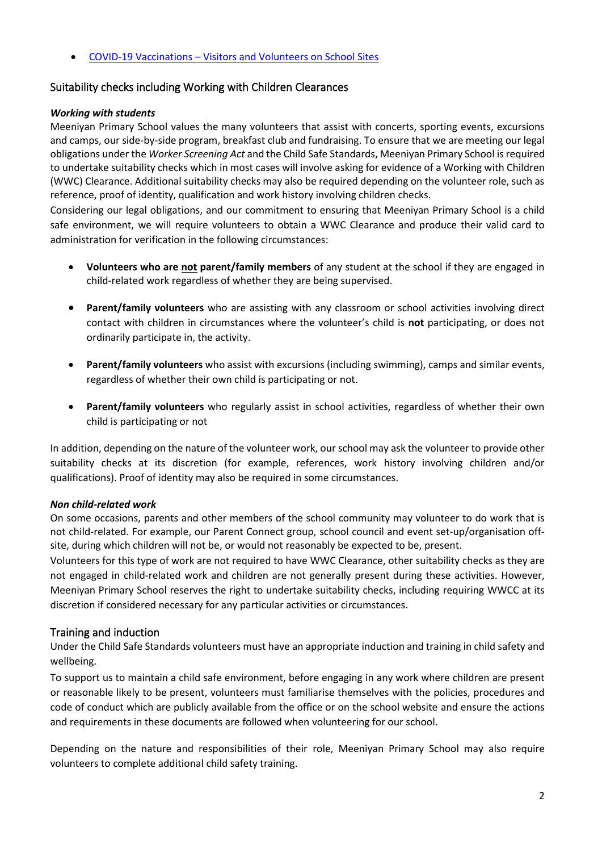• COVID-19 Vaccinations – [Visitors and Volunteers on School Sites](https://www2.education.vic.gov.au/pal/covid-19-vaccinations-visitors-volunteers/policy)

## Suitability checks including Working with Children Clearances

#### *Working with students*

Meeniyan Primary School values the many volunteers that assist with concerts, sporting events, excursions and camps, our side-by-side program, breakfast club and fundraising. To ensure that we are meeting our legal obligations under the *Worker Screening Act* and the Child Safe Standards, Meeniyan Primary School is required to undertake suitability checks which in most cases will involve asking for evidence of a Working with Children (WWC) Clearance. Additional suitability checks may also be required depending on the volunteer role, such as reference, proof of identity, qualification and work history involving children checks.

Considering our legal obligations, and our commitment to ensuring that Meeniyan Primary School is a child safe environment, we will require volunteers to obtain a WWC Clearance and produce their valid card to administration for verification in the following circumstances:

- **Volunteers who are not parent/family members** of any student at the school if they are engaged in child-related work regardless of whether they are being supervised.
- **Parent/family volunteers** who are assisting with any classroom or school activities involving direct contact with children in circumstances where the volunteer's child is **not** participating, or does not ordinarily participate in, the activity.
- **Parent/family volunteers** who assist with excursions (including swimming), camps and similar events, regardless of whether their own child is participating or not.
- **Parent/family volunteers** who regularly assist in school activities, regardless of whether their own child is participating or not

In addition, depending on the nature of the volunteer work, our school may ask the volunteer to provide other suitability checks at its discretion (for example, references, work history involving children and/or qualifications). Proof of identity may also be required in some circumstances.

## *Non child-related work*

On some occasions, parents and other members of the school community may volunteer to do work that is not child-related. For example, our Parent Connect group, school council and event set-up/organisation offsite, during which children will not be, or would not reasonably be expected to be, present.

Volunteers for this type of work are not required to have WWC Clearance, other suitability checks as they are not engaged in child-related work and children are not generally present during these activities. However, Meeniyan Primary School reserves the right to undertake suitability checks, including requiring WWCC at its discretion if considered necessary for any particular activities or circumstances.

## Training and induction

Under the Child Safe Standards volunteers must have an appropriate induction and training in child safety and wellbeing.

To support us to maintain a child safe environment, before engaging in any work where children are present or reasonable likely to be present, volunteers must familiarise themselves with the policies, procedures and code of conduct which are publicly available from the office or on the school website and ensure the actions and requirements in these documents are followed when volunteering for our school.

Depending on the nature and responsibilities of their role, Meeniyan Primary School may also require volunteers to complete additional child safety training.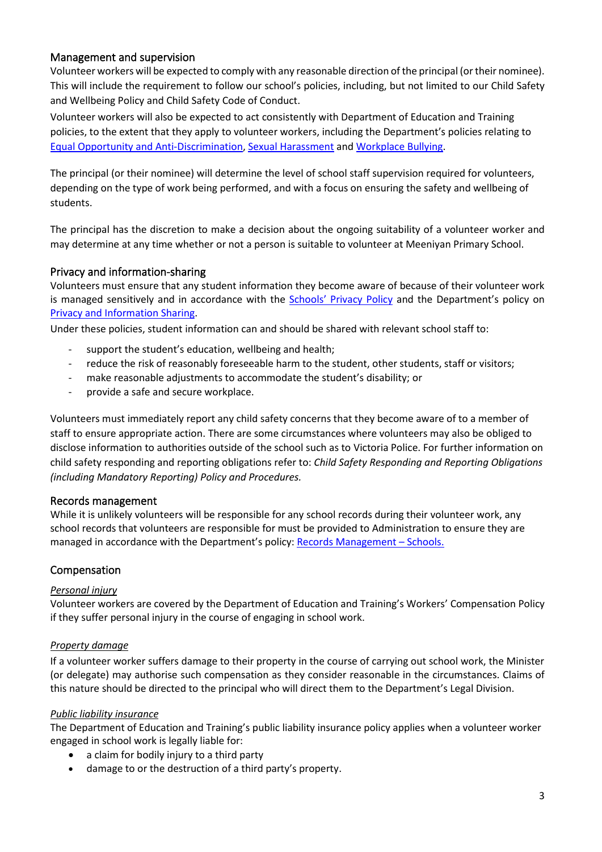## Management and supervision

Volunteer workers will be expected to comply with any reasonable direction of the principal (or their nominee). This will include the requirement to follow our school's policies, including, but not limited to our Child Safety and Wellbeing Policy and Child Safety Code of Conduct.

Volunteer workers will also be expected to act consistently with Department of Education and Training policies, to the extent that they apply to volunteer workers, including the Department's policies relating to [Equal Opportunity and Anti-Discrimination,](https://www2.education.vic.gov.au/pal/equal-opportunity/policy-and-guidelines) [Sexual Harassment](https://www2.education.vic.gov.au/pal/sexual-harassment/overview) and [Workplace Bullying.](https://www2.education.vic.gov.au/pal/workplace-bullying/policy)

The principal (or their nominee) will determine the level of school staff supervision required for volunteers, depending on the type of work being performed, and with a focus on ensuring the safety and wellbeing of students.

The principal has the discretion to make a decision about the ongoing suitability of a volunteer worker and may determine at any time whether or not a person is suitable to volunteer at Meeniyan Primary School.

## Privacy and information-sharing

Volunteers must ensure that any student information they become aware of because of their volunteer work is managed sensitively and in accordance with the Schools' [Privacy Policy](https://www.education.vic.gov.au/Pages/schoolsprivacypolicy.aspx) and the Department's policy on [Privacy and Information Sharing.](https://www2.education.vic.gov.au/pal/privacy-information-sharing/policy)

Under these policies, student information can and should be shared with relevant school staff to:

- support the student's education, wellbeing and health;
- reduce the risk of reasonably foreseeable harm to the student, other students, staff or visitors;
- make reasonable adjustments to accommodate the student's disability; or
- provide a safe and secure workplace.

Volunteers must immediately report any child safety concerns that they become aware of to a member of staff to ensure appropriate action. There are some circumstances where volunteers may also be obliged to disclose information to authorities outside of the school such as to Victoria Police. For further information on child safety responding and reporting obligations refer to: *Child Safety Responding and Reporting Obligations (including Mandatory Reporting) Policy and Procedures.* 

#### Records management

While it is unlikely volunteers will be responsible for any school records during their volunteer work, any school records that volunteers are responsible for must be provided to Administration to ensure they are managed in accordance with the Department's policy[: Records Management](https://www2.education.vic.gov.au/pal/records-management/policy) – Schools.

## Compensation

#### *Personal injury*

Volunteer workers are covered by the Department of Education and Training's Workers' Compensation Policy if they suffer personal injury in the course of engaging in school work.

#### *Property damage*

If a volunteer worker suffers damage to their property in the course of carrying out school work, the Minister (or delegate) may authorise such compensation as they consider reasonable in the circumstances. Claims of this nature should be directed to the principal who will direct them to the Department's Legal Division.

## *Public liability insurance*

The Department of Education and Training's public liability insurance policy applies when a volunteer worker engaged in school work is legally liable for:

- a claim for bodily injury to a third party
- damage to or the destruction of a third party's property.